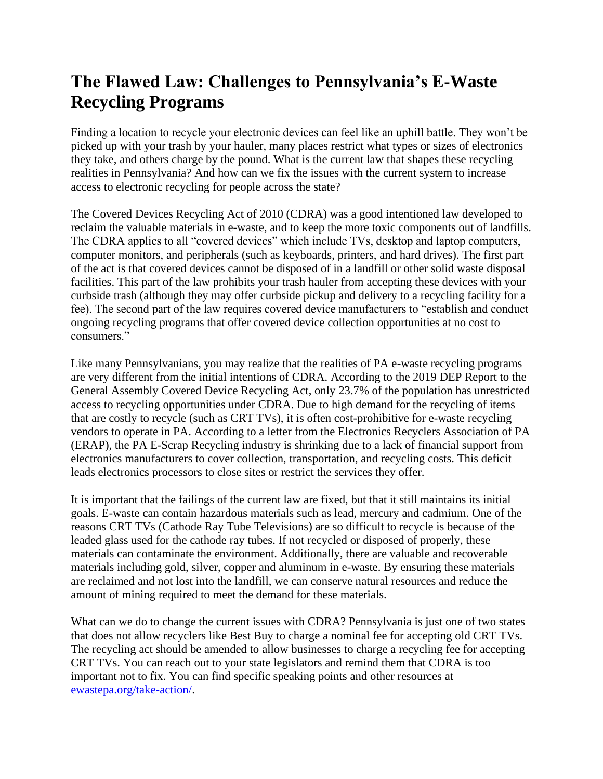## **The Flawed Law: Challenges to Pennsylvania's E-Waste Recycling Programs**

Finding a location to recycle your electronic devices can feel like an uphill battle. They won't be picked up with your trash by your hauler, many places restrict what types or sizes of electronics they take, and others charge by the pound. What is the current law that shapes these recycling realities in Pennsylvania? And how can we fix the issues with the current system to increase access to electronic recycling for people across the state?

The Covered Devices Recycling Act of 2010 (CDRA) was a good intentioned law developed to reclaim the valuable materials in e-waste, and to keep the more toxic components out of landfills. The CDRA applies to all "covered devices" which include TVs, desktop and laptop computers, computer monitors, and peripherals (such as keyboards, printers, and hard drives). The first part of the act is that covered devices cannot be disposed of in a landfill or other solid waste disposal facilities. This part of the law prohibits your trash hauler from accepting these devices with your curbside trash (although they may offer curbside pickup and delivery to a recycling facility for a fee). The second part of the law requires covered device manufacturers to "establish and conduct ongoing recycling programs that offer covered device collection opportunities at no cost to consumers."

Like many Pennsylvanians, you may realize that the realities of PA e-waste recycling programs are very different from the initial intentions of CDRA. According to the 2019 DEP Report to the General Assembly Covered Device Recycling Act, only 23.7% of the population has unrestricted access to recycling opportunities under CDRA. Due to high demand for the recycling of items that are costly to recycle (such as CRT TVs), it is often cost-prohibitive for e-waste recycling vendors to operate in PA. According to a letter from the Electronics Recyclers Association of PA (ERAP), the PA E-Scrap Recycling industry is shrinking due to a lack of financial support from electronics manufacturers to cover collection, transportation, and recycling costs. This deficit leads electronics processors to close sites or restrict the services they offer.

It is important that the failings of the current law are fixed, but that it still maintains its initial goals. E-waste can contain hazardous materials such as lead, mercury and cadmium. One of the reasons CRT TVs (Cathode Ray Tube Televisions) are so difficult to recycle is because of the leaded glass used for the cathode ray tubes. If not recycled or disposed of properly, these materials can contaminate the environment. Additionally, there are valuable and recoverable materials including gold, silver, copper and aluminum in e-waste. By ensuring these materials are reclaimed and not lost into the landfill, we can conserve natural resources and reduce the amount of mining required to meet the demand for these materials.

What can we do to change the current issues with CDRA? Pennsylvania is just one of two states that does not allow recyclers like Best Buy to charge a nominal fee for accepting old CRT TVs. The recycling act should be amended to allow businesses to charge a recycling fee for accepting CRT TVs. You can reach out to your state legislators and remind them that CDRA is too important not to fix. You can find specific speaking points and other resources at [ewastepa.org/take-action/.](https://ewastepa.org/take-action/)